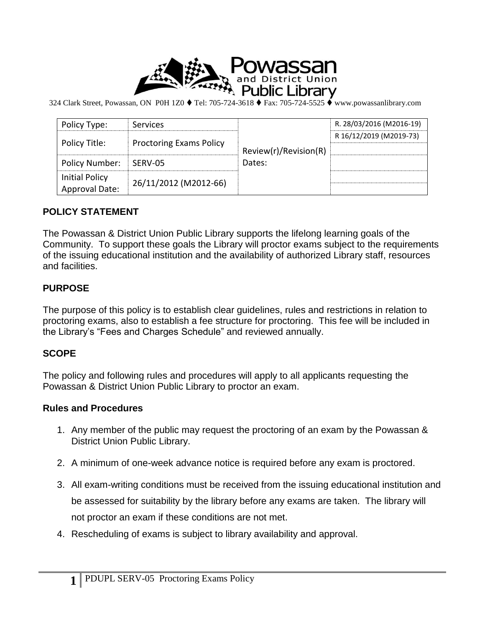

324 Clark Street, Powassan, ON P0H 1Z0 ♦ Tel: 705-724-3618 ♦ Fax: 705-724-5525 ♦ www.powassanlibrary.com

| Policy Type:                                   | Services                       | Review(r)/Revision(R)<br>Dates: | R. 28/03/2016 (M2016-19) |
|------------------------------------------------|--------------------------------|---------------------------------|--------------------------|
| Policy Title:                                  | <b>Proctoring Exams Policy</b> |                                 | R 16/12/2019 (M2019-73)  |
|                                                |                                |                                 |                          |
| <b>Policy Number:</b>                          | SERV-05                        |                                 |                          |
| <b>Initial Policy</b><br><b>Approval Date:</b> | 26/11/2012 (M2012-66)          |                                 |                          |

## **POLICY STATEMENT**

The Powassan & District Union Public Library supports the lifelong learning goals of the Community. To support these goals the Library will proctor exams subject to the requirements of the issuing educational institution and the availability of authorized Library staff, resources and facilities.

## **PURPOSE**

The purpose of this policy is to establish clear guidelines, rules and restrictions in relation to proctoring exams, also to establish a fee structure for proctoring. This fee will be included in the Library's "Fees and Charges Schedule" and reviewed annually.

## **SCOPE**

The policy and following rules and procedures will apply to all applicants requesting the Powassan & District Union Public Library to proctor an exam.

## **Rules and Procedures**

- 1. Any member of the public may request the proctoring of an exam by the Powassan & District Union Public Library.
- 2. A minimum of one-week advance notice is required before any exam is proctored.
- 3. All exam-writing conditions must be received from the issuing educational institution and be assessed for suitability by the library before any exams are taken. The library will not proctor an exam if these conditions are not met.
- 4. Rescheduling of exams is subject to library availability and approval.